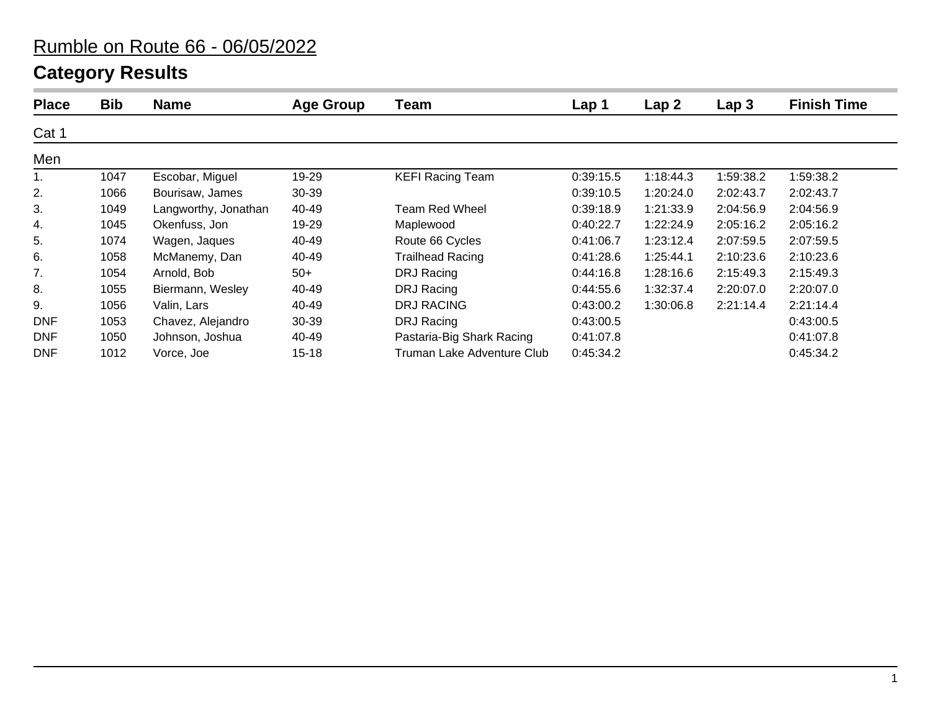# **Category Results**

| <b>Place</b> | <b>Bib</b> | <b>Name</b>          | <b>Age Group</b> | Team                       | Lap <sub>1</sub> | Lap <sub>2</sub> | Lap <sub>3</sub> | <b>Finish Time</b> |
|--------------|------------|----------------------|------------------|----------------------------|------------------|------------------|------------------|--------------------|
| Cat 1        |            |                      |                  |                            |                  |                  |                  |                    |
| Men          |            |                      |                  |                            |                  |                  |                  |                    |
| 1.           | 1047       | Escobar, Miguel      | 19-29            | <b>KEFI Racing Team</b>    | 0:39:15.5        | 1:18:44.3        | 1:59:38.2        | 1:59:38.2          |
| 2.           | 1066       | Bourisaw, James      | 30-39            |                            | 0:39:10.5        | 1:20:24.0        | 2:02:43.7        | 2:02:43.7          |
| 3.           | 1049       | Langworthy, Jonathan | 40-49            | Team Red Wheel             | 0:39:18.9        | 1:21:33.9        | 2:04:56.9        | 2:04:56.9          |
| 4.           | 1045       | Okenfuss, Jon        | 19-29            | Maplewood                  | 0:40:22.7        | 1:22:24.9        | 2:05:16.2        | 2:05:16.2          |
| 5.           | 1074       | Wagen, Jaques        | 40-49            | Route 66 Cycles            | 0:41:06.7        | 1:23:12.4        | 2:07:59.5        | 2:07:59.5          |
| 6.           | 1058       | McManemy, Dan        | 40-49            | <b>Trailhead Racing</b>    | 0:41:28.6        | 1:25:44.1        | 2:10:23.6        | 2:10:23.6          |
| 7.           | 1054       | Arnold, Bob          | $50+$            | DRJ Racing                 | 0:44:16.8        | 1:28:16.6        | 2:15:49.3        | 2:15:49.3          |
| 8.           | 1055       | Biermann, Wesley     | 40-49            | DRJ Racing                 | 0:44:55.6        | 1:32:37.4        | 2:20:07.0        | 2:20:07.0          |
| 9.           | 1056       | Valin, Lars          | 40-49            | <b>DRJ RACING</b>          | 0:43:00.2        | 1:30:06.8        | 2:21:14.4        | 2:21:14.4          |
| <b>DNF</b>   | 1053       | Chavez, Alejandro    | $30 - 39$        | DRJ Racing                 | 0:43:00.5        |                  |                  | 0:43:00.5          |
| <b>DNF</b>   | 1050       | Johnson, Joshua      | 40-49            | Pastaria-Big Shark Racing  | 0:41:07.8        |                  |                  | 0:41:07.8          |
| <b>DNF</b>   | 1012       | Vorce, Joe           | $15 - 18$        | Truman Lake Adventure Club | 0:45:34.2        |                  |                  | 0:45:34.2          |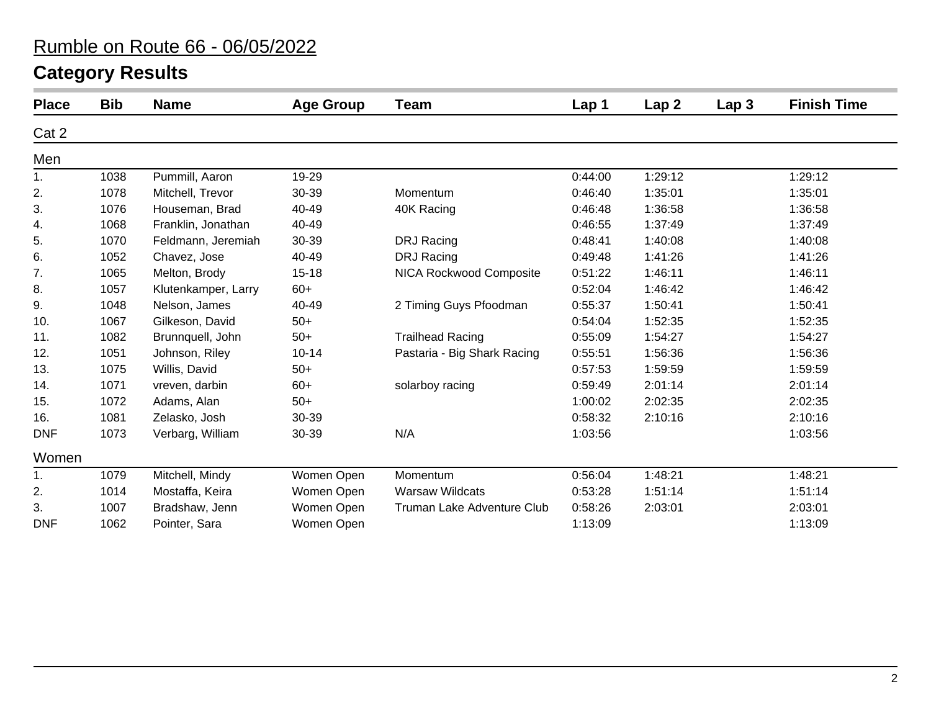# **Category Results**

| <b>Place</b>   | <b>Bib</b> | <b>Name</b>         | <b>Age Group</b> | Team                        | Lap <sub>1</sub> | Lap2    | Lap <sub>3</sub> | <b>Finish Time</b> |
|----------------|------------|---------------------|------------------|-----------------------------|------------------|---------|------------------|--------------------|
| Cat 2          |            |                     |                  |                             |                  |         |                  |                    |
| Men            |            |                     |                  |                             |                  |         |                  |                    |
| 1.             | 1038       | Pummill, Aaron      | 19-29            |                             | 0:44:00          | 1:29:12 |                  | 1:29:12            |
| 2.             | 1078       | Mitchell, Trevor    | 30-39            | Momentum                    | 0:46:40          | 1:35:01 |                  | 1:35:01            |
| 3.             | 1076       | Houseman, Brad      | 40-49            | 40K Racing                  | 0:46:48          | 1:36:58 |                  | 1:36:58            |
| 4.             | 1068       | Franklin, Jonathan  | 40-49            |                             | 0:46:55          | 1:37:49 |                  | 1:37:49            |
| 5.             | 1070       | Feldmann, Jeremiah  | 30-39            | DRJ Racing                  | 0:48:41          | 1:40:08 |                  | 1:40:08            |
| 6.             | 1052       | Chavez, Jose        | 40-49            | <b>DRJ Racing</b>           | 0:49:48          | 1:41:26 |                  | 1:41:26            |
| 7.             | 1065       | Melton, Brody       | $15 - 18$        | NICA Rockwood Composite     | 0:51:22          | 1:46:11 |                  | 1:46:11            |
| 8.             | 1057       | Klutenkamper, Larry | $60+$            |                             | 0:52:04          | 1:46:42 |                  | 1:46:42            |
| 9.             | 1048       | Nelson, James       | 40-49            | 2 Timing Guys Pfoodman      | 0:55:37          | 1:50:41 |                  | 1:50:41            |
| 10.            | 1067       | Gilkeson, David     | $50+$            |                             | 0:54:04          | 1:52:35 |                  | 1:52:35            |
| 11.            | 1082       | Brunnquell, John    | $50+$            | <b>Trailhead Racing</b>     | 0:55:09          | 1:54:27 |                  | 1:54:27            |
| 12.            | 1051       | Johnson, Riley      | $10 - 14$        | Pastaria - Big Shark Racing | 0:55:51          | 1:56:36 |                  | 1:56:36            |
| 13.            | 1075       | Willis, David       | $50+$            |                             | 0:57:53          | 1:59:59 |                  | 1:59:59            |
| 14.            | 1071       | vreven, darbin      | $60+$            | solarboy racing             | 0:59:49          | 2:01:14 |                  | 2:01:14            |
| 15.            | 1072       | Adams, Alan         | $50+$            |                             | 1:00:02          | 2:02:35 |                  | 2:02:35            |
| 16.            | 1081       | Zelasko, Josh       | 30-39            |                             | 0:58:32          | 2:10:16 |                  | 2:10:16            |
| <b>DNF</b>     | 1073       | Verbarg, William    | 30-39            | N/A                         | 1:03:56          |         |                  | 1:03:56            |
| Women          |            |                     |                  |                             |                  |         |                  |                    |
| $\mathbf{1}$ . | 1079       | Mitchell, Mindy     | Women Open       | Momentum                    | 0:56:04          | 1:48:21 |                  | 1:48:21            |
| 2.             | 1014       | Mostaffa, Keira     | Women Open       | <b>Warsaw Wildcats</b>      | 0:53:28          | 1:51:14 |                  | 1:51:14            |
| 3.             | 1007       | Bradshaw, Jenn      | Women Open       | Truman Lake Adventure Club  | 0:58:26          | 2:03:01 |                  | 2:03:01            |
| <b>DNF</b>     | 1062       | Pointer, Sara       | Women Open       |                             | 1:13:09          |         |                  | 1:13:09            |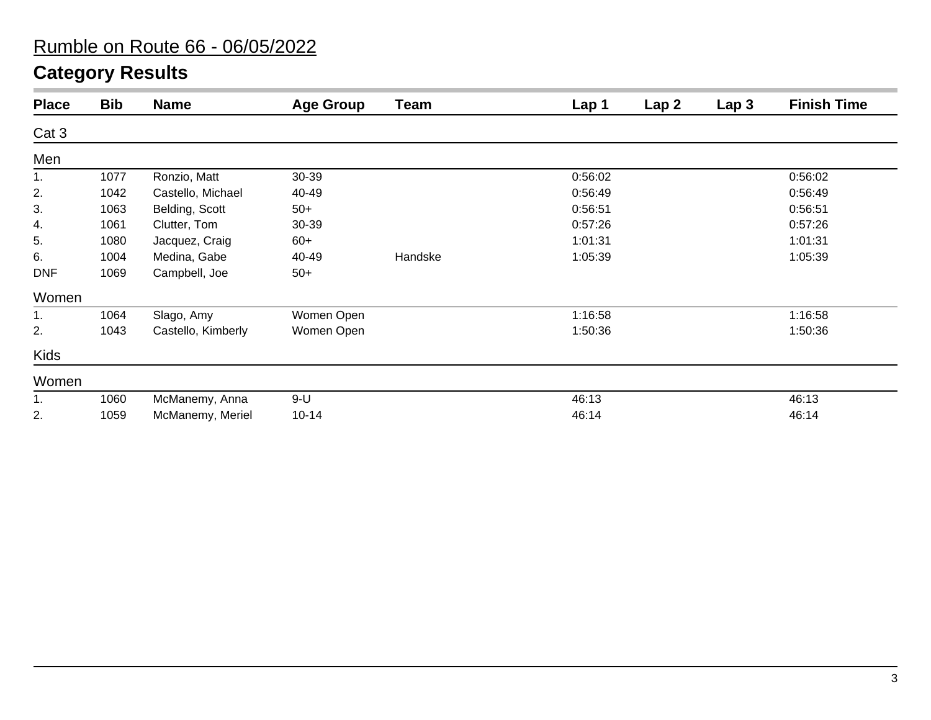# **Category Results**

| <b>Place</b> | <b>Bib</b> | <b>Name</b>        | <b>Age Group</b> | <b>Team</b> | Lap 1   | Lap <sub>2</sub> | Lap <sub>3</sub> | <b>Finish Time</b> |
|--------------|------------|--------------------|------------------|-------------|---------|------------------|------------------|--------------------|
| Cat 3        |            |                    |                  |             |         |                  |                  |                    |
| Men          |            |                    |                  |             |         |                  |                  |                    |
| 1.           | 1077       | Ronzio, Matt       | 30-39            |             | 0:56:02 |                  |                  | 0:56:02            |
| 2.           | 1042       | Castello, Michael  | 40-49            |             | 0:56:49 |                  |                  | 0:56:49            |
| 3.           | 1063       | Belding, Scott     | $50+$            |             | 0:56:51 |                  |                  | 0:56:51            |
| 4.           | 1061       | Clutter, Tom       | 30-39            |             | 0:57:26 |                  |                  | 0:57:26            |
| 5.           | 1080       | Jacquez, Craig     | $60+$            |             | 1:01:31 |                  |                  | 1:01:31            |
| 6.           | 1004       | Medina, Gabe       | 40-49            | Handske     | 1:05:39 |                  |                  | 1:05:39            |
| <b>DNF</b>   | 1069       | Campbell, Joe      | $50+$            |             |         |                  |                  |                    |
| Women        |            |                    |                  |             |         |                  |                  |                    |
| 1.           | 1064       | Slago, Amy         | Women Open       |             | 1:16:58 |                  |                  | 1:16:58            |
| 2.           | 1043       | Castello, Kimberly | Women Open       |             | 1:50:36 |                  |                  | 1:50:36            |
| Kids         |            |                    |                  |             |         |                  |                  |                    |
| Women        |            |                    |                  |             |         |                  |                  |                    |
| 1.           | 1060       | McManemy, Anna     | $9-U$            |             | 46:13   |                  |                  | 46:13              |
| 2.           | 1059       | McManemy, Meriel   | $10 - 14$        |             | 46:14   |                  |                  | 46:14              |